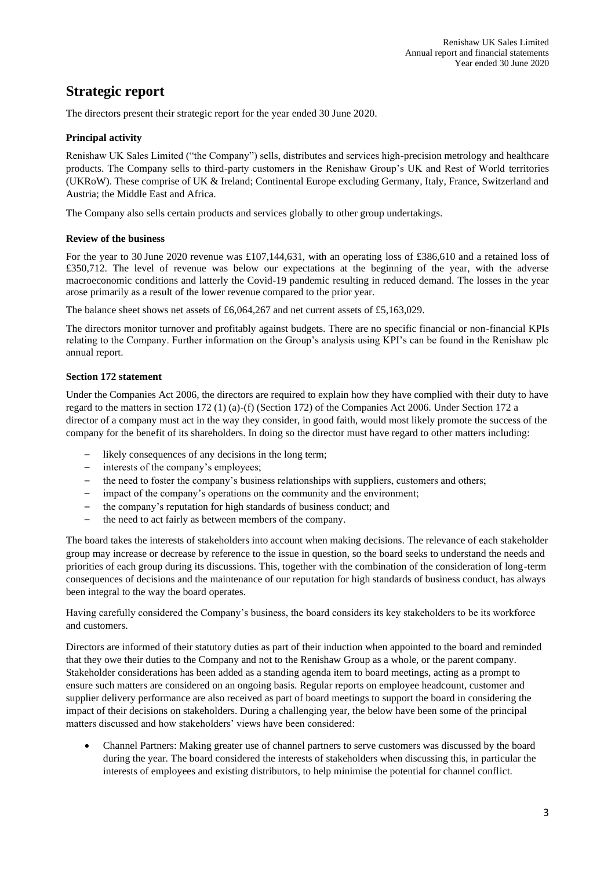## **Strategic report**

The directors present their strategic report for the year ended 30 June 2020.

## **Principal activity**

Renishaw UK Sales Limited ("the Company") sells, distributes and services high-precision metrology and healthcare products. The Company sells to third-party customers in the Renishaw Group's UK and Rest of World territories (UKRoW). These comprise of UK & Ireland; Continental Europe excluding Germany, Italy, France, Switzerland and Austria; the Middle East and Africa.

The Company also sells certain products and services globally to other group undertakings.

## **Review of the business**

For the year to 30 June 2020 revenue was £107,144,631, with an operating loss of £386,610 and a retained loss of £350,712. The level of revenue was below our expectations at the beginning of the year, with the adverse macroeconomic conditions and latterly the Covid-19 pandemic resulting in reduced demand. The losses in the year arose primarily as a result of the lower revenue compared to the prior year.

The balance sheet shows net assets of £6,064,267 and net current assets of £5,163,029.

The directors monitor turnover and profitably against budgets. There are no specific financial or non-financial KPIs relating to the Company. Further information on the Group's analysis using KPI's can be found in the Renishaw plc annual report.

## **Section 172 statement**

Under the Companies Act 2006, the directors are required to explain how they have complied with their duty to have regard to the matters in section 172 (1) (a)-(f) (Section 172) of the Companies Act 2006. Under Section 172 a director of a company must act in the way they consider, in good faith, would most likely promote the success of the company for the benefit of its shareholders. In doing so the director must have regard to other matters including:

- likely consequences of any decisions in the long term;
- interests of the company's employees;
- the need to foster the company's business relationships with suppliers, customers and others;
- impact of the company's operations on the community and the environment:
- the company's reputation for high standards of business conduct; and
- the need to act fairly as between members of the company.

The board takes the interests of stakeholders into account when making decisions. The relevance of each stakeholder group may increase or decrease by reference to the issue in question, so the board seeks to understand the needs and priorities of each group during its discussions. This, together with the combination of the consideration of long-term consequences of decisions and the maintenance of our reputation for high standards of business conduct, has always been integral to the way the board operates.

Having carefully considered the Company's business, the board considers its key stakeholders to be its workforce and customers.

Directors are informed of their statutory duties as part of their induction when appointed to the board and reminded that they owe their duties to the Company and not to the Renishaw Group as a whole, or the parent company. Stakeholder considerations has been added as a standing agenda item to board meetings, acting as a prompt to ensure such matters are considered on an ongoing basis. Regular reports on employee headcount, customer and supplier delivery performance are also received as part of board meetings to support the board in considering the impact of their decisions on stakeholders. During a challenging year, the below have been some of the principal matters discussed and how stakeholders' views have been considered:

• Channel Partners: Making greater use of channel partners to serve customers was discussed by the board during the year. The board considered the interests of stakeholders when discussing this, in particular the interests of employees and existing distributors, to help minimise the potential for channel conflict.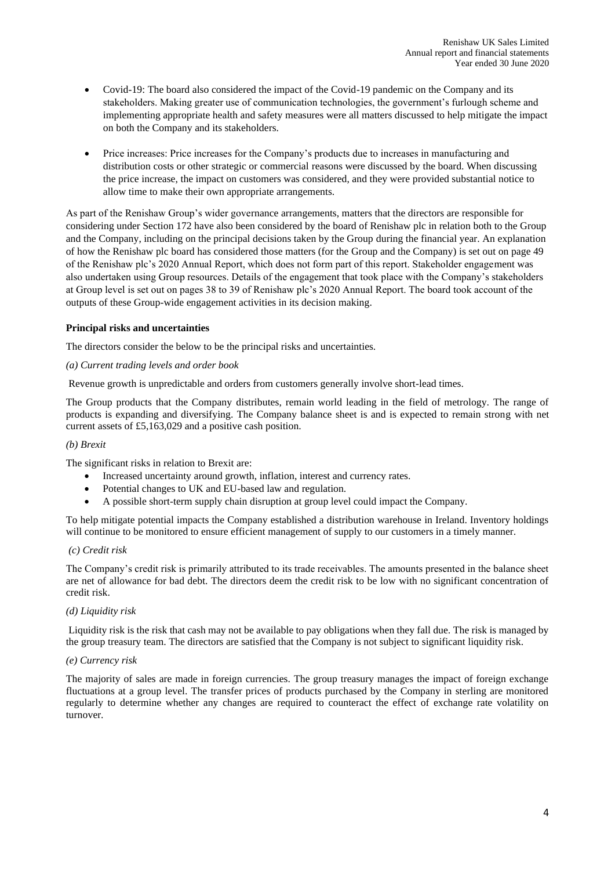- Covid-19: The board also considered the impact of the Covid-19 pandemic on the Company and its stakeholders. Making greater use of communication technologies, the government's furlough scheme and implementing appropriate health and safety measures were all matters discussed to help mitigate the impact on both the Company and its stakeholders.
- Price increases: Price increases for the Company's products due to increases in manufacturing and distribution costs or other strategic or commercial reasons were discussed by the board. When discussing the price increase, the impact on customers was considered, and they were provided substantial notice to allow time to make their own appropriate arrangements.

As part of the Renishaw Group's wider governance arrangements, matters that the directors are responsible for considering under Section 172 have also been considered by the board of Renishaw plc in relation both to the Group and the Company, including on the principal decisions taken by the Group during the financial year. An explanation of how the Renishaw plc board has considered those matters (for the Group and the Company) is set out on page 49 of the Renishaw plc's 2020 Annual Report, which does not form part of this report. Stakeholder engagement was also undertaken using Group resources. Details of the engagement that took place with the Company's stakeholders at Group level is set out on pages 38 to 39 of Renishaw plc's 2020 Annual Report. The board took account of the outputs of these Group-wide engagement activities in its decision making.

## **Principal risks and uncertainties**

The directors consider the below to be the principal risks and uncertainties.

## *(a) Current trading levels and order book*

Revenue growth is unpredictable and orders from customers generally involve short-lead times.

The Group products that the Company distributes, remain world leading in the field of metrology. The range of products is expanding and diversifying. The Company balance sheet is and is expected to remain strong with net current assets of £5,163,029 and a positive cash position.

#### *(b) Brexit*

The significant risks in relation to Brexit are:

- Increased uncertainty around growth, inflation, interest and currency rates.
- Potential changes to UK and EU-based law and regulation.
- A possible short-term supply chain disruption at group level could impact the Company.

To help mitigate potential impacts the Company established a distribution warehouse in Ireland. Inventory holdings will continue to be monitored to ensure efficient management of supply to our customers in a timely manner.

#### *(c) Credit risk*

The Company's credit risk is primarily attributed to its trade receivables. The amounts presented in the balance sheet are net of allowance for bad debt. The directors deem the credit risk to be low with no significant concentration of credit risk.

## *(d) Liquidity risk*

Liquidity risk is the risk that cash may not be available to pay obligations when they fall due. The risk is managed by the group treasury team. The directors are satisfied that the Company is not subject to significant liquidity risk.

#### *(e) Currency risk*

The majority of sales are made in foreign currencies. The group treasury manages the impact of foreign exchange fluctuations at a group level. The transfer prices of products purchased by the Company in sterling are monitored regularly to determine whether any changes are required to counteract the effect of exchange rate volatility on turnover.